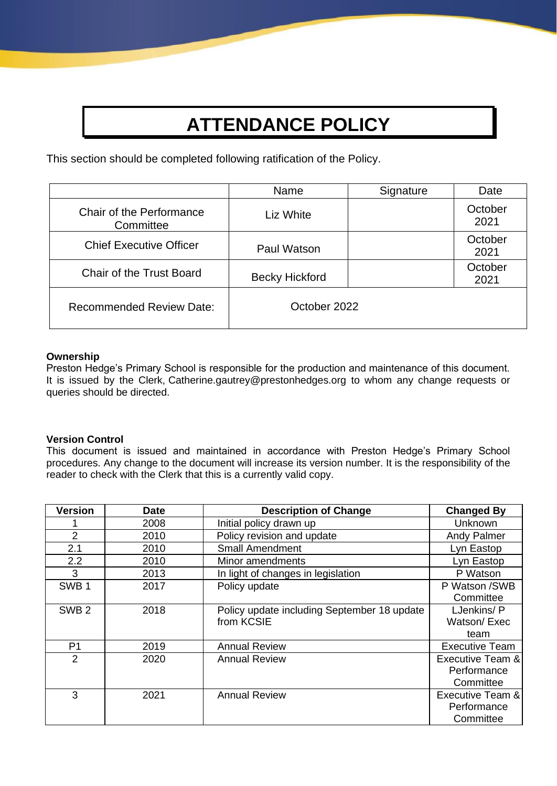# **ATTENDANCE POLICY**

This section should be completed following ratification of the Policy.

|                                       | Name                  | Signature | Date            |
|---------------------------------------|-----------------------|-----------|-----------------|
| Chair of the Performance<br>Committee | Liz White             |           | October<br>2021 |
| <b>Chief Executive Officer</b>        | Paul Watson           |           | October<br>2021 |
| <b>Chair of the Trust Board</b>       | <b>Becky Hickford</b> |           | October<br>2021 |
| <b>Recommended Review Date:</b>       | October 2022          |           |                 |

#### **Ownership**

Preston Hedge's Primary School is responsible for the production and maintenance of this document. It is issued by the Clerk, Catherine.gautrey@prestonhedges.org to whom any change requests or queries should be directed.

## **Version Control**

This document is issued and maintained in accordance with Preston Hedge's Primary School procedures. Any change to the document will increase its version number. It is the responsibility of the reader to check with the Clerk that this is a currently valid copy.

| <b>Version</b>   | <b>Date</b> | <b>Description of Change</b>                | <b>Changed By</b>     |
|------------------|-------------|---------------------------------------------|-----------------------|
|                  | 2008        | Initial policy drawn up                     | <b>Unknown</b>        |
| 2                | 2010        | Policy revision and update                  | <b>Andy Palmer</b>    |
| 2.1              | 2010        | <b>Small Amendment</b>                      | Lyn Eastop            |
| 2.2              | 2010        | Minor amendments                            | Lyn Eastop            |
| 3                | 2013        | In light of changes in legislation          | P Watson              |
| SWB <sub>1</sub> | 2017        | Policy update                               | P Watson /SWB         |
|                  |             |                                             | Committee             |
| SWB <sub>2</sub> | 2018        | Policy update including September 18 update | LJenkins/P            |
|                  |             | from KCSIE                                  | Watson/Exec           |
|                  |             |                                             | team                  |
| P1               | 2019        | <b>Annual Review</b>                        | <b>Executive Team</b> |
| $\overline{2}$   | 2020        | <b>Annual Review</b>                        | Executive Team &      |
|                  |             |                                             | Performance           |
|                  |             |                                             | Committee             |
| 3                | 2021        | <b>Annual Review</b>                        | Executive Team &      |
|                  |             |                                             | Performance           |
|                  |             |                                             | Committee             |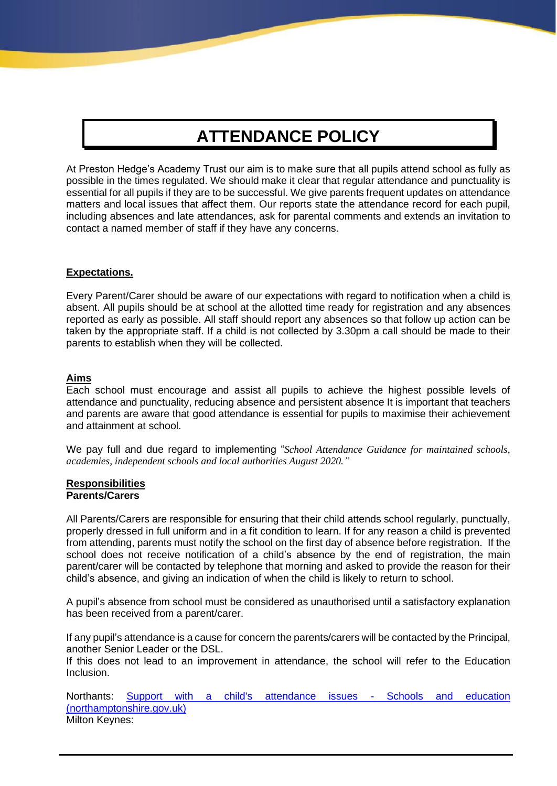## **ATTENDANCE POLICY**

At Preston Hedge's Academy Trust our aim is to make sure that all pupils attend school as fully as possible in the times regulated. We should make it clear that regular attendance and punctuality is essential for all pupils if they are to be successful. We give parents frequent updates on attendance matters and local issues that affect them. Our reports state the attendance record for each pupil, including absences and late attendances, ask for parental comments and extends an invitation to contact a named member of staff if they have any concerns.

#### **Expectations.**

Every Parent/Carer should be aware of our expectations with regard to notification when a child is absent. All pupils should be at school at the allotted time ready for registration and any absences reported as early as possible. All staff should report any absences so that follow up action can be taken by the appropriate staff. If a child is not collected by 3.30pm a call should be made to their parents to establish when they will be collected.

#### **Aims**

Each school must encourage and assist all pupils to achieve the highest possible levels of attendance and punctuality, reducing absence and persistent absence It is important that teachers and parents are aware that good attendance is essential for pupils to maximise their achievement and attainment at school.

We pay full and due regard to implementing "*School Attendance Guidance for maintained schools, academies, independent schools and local authorities August 2020."*

#### **Responsibilities Parents/Carers**

All Parents/Carers are responsible for ensuring that their child attends school regularly, punctually, properly dressed in full uniform and in a fit condition to learn. If for any reason a child is prevented from attending, parents must notify the school on the first day of absence before registration. If the school does not receive notification of a child's absence by the end of registration, the main parent/carer will be contacted by telephone that morning and asked to provide the reason for their child's absence, and giving an indication of when the child is likely to return to school.

A pupil's absence from school must be considered as unauthorised until a satisfactory explanation has been received from a parent/carer.

If any pupil's attendance is a cause for concern the parents/carers will be contacted by the Principal, another Senior Leader or the DSL.

If this does not lead to an improvement in attendance, the school will refer to the Education Inclusion.

Northants: [Support with a child's attendance issues -](about:blank) Schools and education [\(northamptonshire.gov.uk\)](about:blank) Milton Keynes: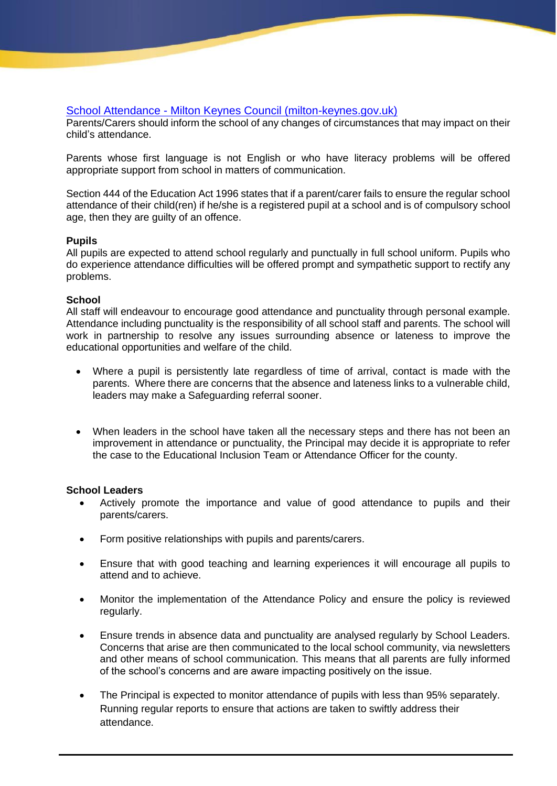## School Attendance - [Milton Keynes Council \(milton-keynes.gov.uk\)](about:blank)

Parents/Carers should inform the school of any changes of circumstances that may impact on their child's attendance.

Parents whose first language is not English or who have literacy problems will be offered appropriate support from school in matters of communication.

Section 444 of the Education Act 1996 states that if a parent/carer fails to ensure the regular school attendance of their child(ren) if he/she is a registered pupil at a school and is of compulsory school age, then they are guilty of an offence.

## **Pupils**

All pupils are expected to attend school regularly and punctually in full school uniform. Pupils who do experience attendance difficulties will be offered prompt and sympathetic support to rectify any problems.

#### **School**

All staff will endeavour to encourage good attendance and punctuality through personal example. Attendance including punctuality is the responsibility of all school staff and parents. The school will work in partnership to resolve any issues surrounding absence or lateness to improve the educational opportunities and welfare of the child.

- Where a pupil is persistently late regardless of time of arrival, contact is made with the parents. Where there are concerns that the absence and lateness links to a vulnerable child, leaders may make a Safeguarding referral sooner.
- When leaders in the school have taken all the necessary steps and there has not been an improvement in attendance or punctuality, the Principal may decide it is appropriate to refer the case to the Educational Inclusion Team or Attendance Officer for the county.

## **School Leaders**

- Actively promote the importance and value of good attendance to pupils and their parents/carers.
- Form positive relationships with pupils and parents/carers.
- Ensure that with good teaching and learning experiences it will encourage all pupils to attend and to achieve.
- Monitor the implementation of the Attendance Policy and ensure the policy is reviewed regularly.
- Ensure trends in absence data and punctuality are analysed regularly by School Leaders. Concerns that arise are then communicated to the local school community, via newsletters and other means of school communication. This means that all parents are fully informed of the school's concerns and are aware impacting positively on the issue.
- The Principal is expected to monitor attendance of pupils with less than 95% separately. Running regular reports to ensure that actions are taken to swiftly address their attendance.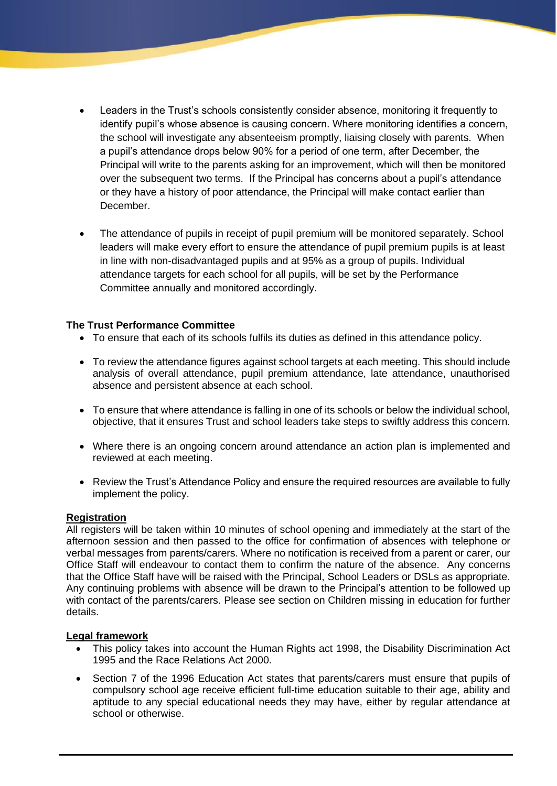- Leaders in the Trust's schools consistently consider absence, monitoring it frequently to identify pupil's whose absence is causing concern. Where monitoring identifies a concern, the school will investigate any absenteeism promptly, liaising closely with parents. When a pupil's attendance drops below 90% for a period of one term, after December, the Principal will write to the parents asking for an improvement, which will then be monitored over the subsequent two terms. If the Principal has concerns about a pupil's attendance or they have a history of poor attendance, the Principal will make contact earlier than December.
- The attendance of pupils in receipt of pupil premium will be monitored separately. School leaders will make every effort to ensure the attendance of pupil premium pupils is at least in line with non-disadvantaged pupils and at 95% as a group of pupils. Individual attendance targets for each school for all pupils, will be set by the Performance Committee annually and monitored accordingly.

## **The Trust Performance Committee**

- To ensure that each of its schools fulfils its duties as defined in this attendance policy.
- To review the attendance figures against school targets at each meeting. This should include analysis of overall attendance, pupil premium attendance, late attendance, unauthorised absence and persistent absence at each school.
- To ensure that where attendance is falling in one of its schools or below the individual school, objective, that it ensures Trust and school leaders take steps to swiftly address this concern.
- Where there is an ongoing concern around attendance an action plan is implemented and reviewed at each meeting.
- Review the Trust's Attendance Policy and ensure the required resources are available to fully implement the policy.

#### **Registration**

All registers will be taken within 10 minutes of school opening and immediately at the start of the afternoon session and then passed to the office for confirmation of absences with telephone or verbal messages from parents/carers. Where no notification is received from a parent or carer, our Office Staff will endeavour to contact them to confirm the nature of the absence. Any concerns that the Office Staff have will be raised with the Principal, School Leaders or DSLs as appropriate. Any continuing problems with absence will be drawn to the Principal's attention to be followed up with contact of the parents/carers. Please see section on Children missing in education for further details.

#### **Legal framework**

- This policy takes into account the Human Rights act 1998, the Disability Discrimination Act 1995 and the Race Relations Act 2000.
- Section 7 of the 1996 Education Act states that parents/carers must ensure that pupils of compulsory school age receive efficient full-time education suitable to their age, ability and aptitude to any special educational needs they may have, either by regular attendance at school or otherwise.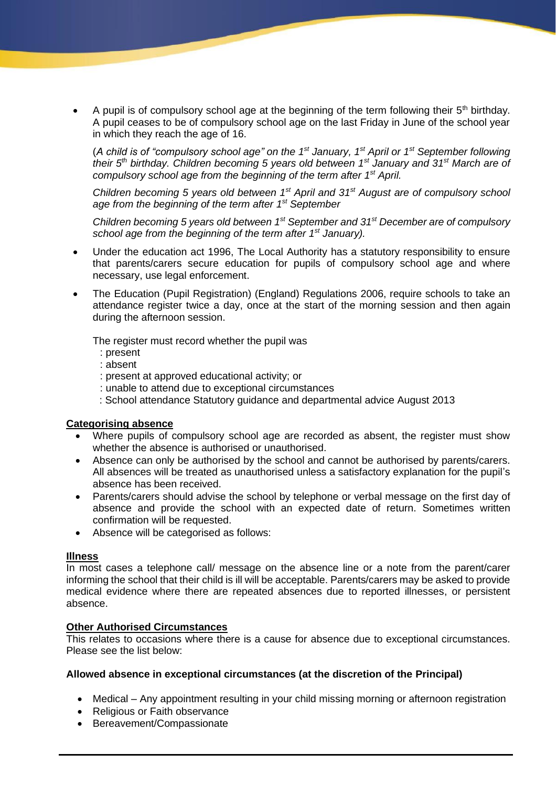A pupil is of compulsory school age at the beginning of the term following their  $5<sup>th</sup>$  birthday. A pupil ceases to be of compulsory school age on the last Friday in June of the school year in which they reach the age of 16.

(*A child is of "compulsory school age" on the 1st January, 1st April or 1st September following their 5th birthday. Children becoming 5 years old between 1st January and 31st March are of compulsory school age from the beginning of the term after 1st April.*

*Children becoming 5 years old between 1st April and 31st August are of compulsory school age from the beginning of the term after 1st September* 

*Children becoming 5 years old between 1st September and 31st December are of compulsory school age from the beginning of the term after 1st January).*

- Under the education act 1996, The Local Authority has a statutory responsibility to ensure that parents/carers secure education for pupils of compulsory school age and where necessary, use legal enforcement.
- The Education (Pupil Registration) (England) Regulations 2006, require schools to take an attendance register twice a day, once at the start of the morning session and then again during the afternoon session.

The register must record whether the pupil was

- : present
- : absent
- : present at approved educational activity; or
- : unable to attend due to exceptional circumstances
- : School attendance Statutory guidance and departmental advice August 2013

## **Categorising absence**

- Where pupils of compulsory school age are recorded as absent, the register must show whether the absence is authorised or unauthorised.
- Absence can only be authorised by the school and cannot be authorised by parents/carers. All absences will be treated as unauthorised unless a satisfactory explanation for the pupil's absence has been received.
- Parents/carers should advise the school by telephone or verbal message on the first day of absence and provide the school with an expected date of return. Sometimes written confirmation will be requested.
- Absence will be categorised as follows:

## **Illness**

In most cases a telephone call/ message on the absence line or a note from the parent/carer informing the school that their child is ill will be acceptable. Parents/carers may be asked to provide medical evidence where there are repeated absences due to reported illnesses, or persistent absence.

## **Other Authorised Circumstances**

This relates to occasions where there is a cause for absence due to exceptional circumstances. Please see the list below:

## **Allowed absence in exceptional circumstances (at the discretion of the Principal)**

- Medical Any appointment resulting in your child missing morning or afternoon registration
- Religious or Faith observance
- Bereavement/Compassionate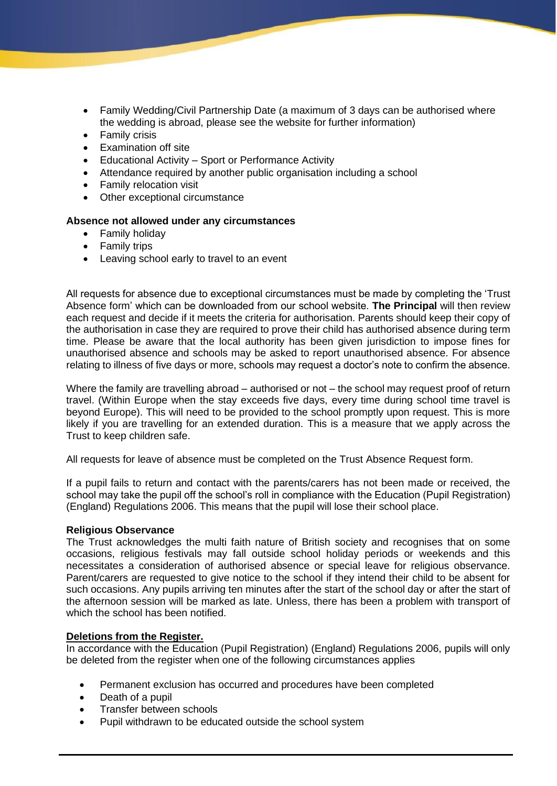- Family Wedding/Civil Partnership Date (a maximum of 3 days can be authorised where the wedding is abroad, please see the website for further information)
- Family crisis
- Examination off site
- Educational Activity Sport or Performance Activity
- Attendance required by another public organisation including a school
- Family relocation visit
- Other exceptional circumstance

## **Absence not allowed under any circumstances**

- Family holiday
- Family trips
- Leaving school early to travel to an event

All requests for absence due to exceptional circumstances must be made by completing the 'Trust Absence form' which can be downloaded from our school website. **The Principal** will then review each request and decide if it meets the criteria for authorisation. Parents should keep their copy of the authorisation in case they are required to prove their child has authorised absence during term time. Please be aware that the local authority has been given jurisdiction to impose fines for unauthorised absence and schools may be asked to report unauthorised absence. For absence relating to illness of five days or more, schools may request a doctor's note to confirm the absence.

Where the family are travelling abroad – authorised or not – the school may request proof of return travel. (Within Europe when the stay exceeds five days, every time during school time travel is beyond Europe). This will need to be provided to the school promptly upon request. This is more likely if you are travelling for an extended duration. This is a measure that we apply across the Trust to keep children safe.

All requests for leave of absence must be completed on the Trust Absence Request form.

If a pupil fails to return and contact with the parents/carers has not been made or received, the school may take the pupil off the school's roll in compliance with the Education (Pupil Registration) (England) Regulations 2006. This means that the pupil will lose their school place.

## **Religious Observance**

The Trust acknowledges the multi faith nature of British society and recognises that on some occasions, religious festivals may fall outside school holiday periods or weekends and this necessitates a consideration of authorised absence or special leave for religious observance. Parent/carers are requested to give notice to the school if they intend their child to be absent for such occasions. Any pupils arriving ten minutes after the start of the school day or after the start of the afternoon session will be marked as late. Unless, there has been a problem with transport of which the school has been notified.

## **Deletions from the Register.**

In accordance with the Education (Pupil Registration) (England) Regulations 2006, pupils will only be deleted from the register when one of the following circumstances applies

- Permanent exclusion has occurred and procedures have been completed
- Death of a pupil
- Transfer between schools
- Pupil withdrawn to be educated outside the school system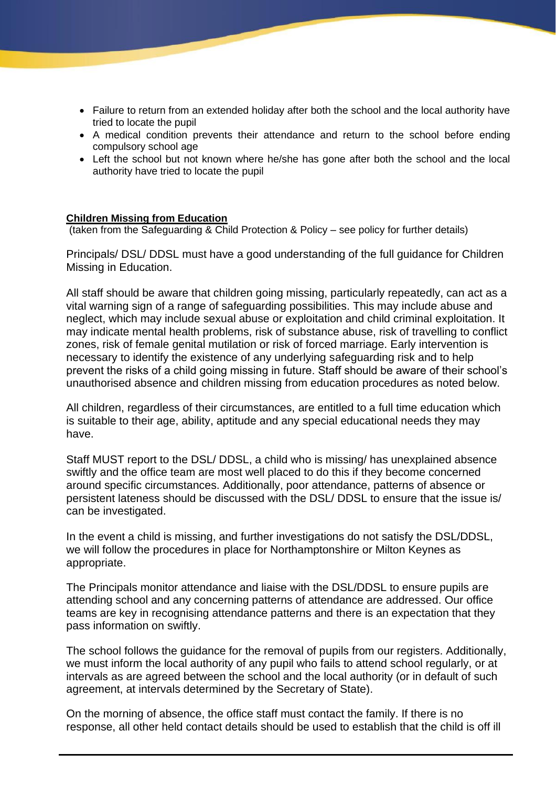- Failure to return from an extended holiday after both the school and the local authority have tried to locate the pupil
- A medical condition prevents their attendance and return to the school before ending compulsory school age
- Left the school but not known where he/she has gone after both the school and the local authority have tried to locate the pupil

#### **Children Missing from Education**

(taken from the Safeguarding & Child Protection & Policy – see policy for further details)

Principals/ DSL/ DDSL must have a good understanding of the full guidance for Children Missing in Education.

All staff should be aware that children going missing, particularly repeatedly, can act as a vital warning sign of a range of safeguarding possibilities. This may include abuse and neglect, which may include sexual abuse or exploitation and child criminal exploitation. It may indicate mental health problems, risk of substance abuse, risk of travelling to conflict zones, risk of female genital mutilation or risk of forced marriage. Early intervention is necessary to identify the existence of any underlying safeguarding risk and to help prevent the risks of a child going missing in future. Staff should be aware of their school's unauthorised absence and children missing from education procedures as noted below.

All children, regardless of their circumstances, are entitled to a full time education which is suitable to their age, ability, aptitude and any special educational needs they may have.

Staff MUST report to the DSL/ DDSL, a child who is missing/ has unexplained absence swiftly and the office team are most well placed to do this if they become concerned around specific circumstances. Additionally, poor attendance, patterns of absence or persistent lateness should be discussed with the DSL/ DDSL to ensure that the issue is/ can be investigated.

In the event a child is missing, and further investigations do not satisfy the DSL/DDSL, we will follow the procedures in place for Northamptonshire or Milton Keynes as appropriate.

The Principals monitor attendance and liaise with the DSL/DDSL to ensure pupils are attending school and any concerning patterns of attendance are addressed. Our office teams are key in recognising attendance patterns and there is an expectation that they pass information on swiftly.

The school follows the guidance for the removal of pupils from our registers. Additionally, we must inform the local authority of any pupil who fails to attend school regularly, or at intervals as are agreed between the school and the local authority (or in default of such agreement, at intervals determined by the Secretary of State).

On the morning of absence, the office staff must contact the family. If there is no response, all other held contact details should be used to establish that the child is off ill